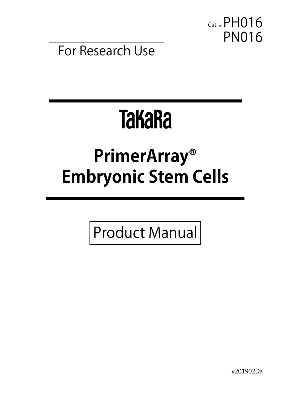Cat. # PH016 PN016

For Research Use

# **TakaRa**

## **PrimerArray® Embryonic Stem Cells**

Product Manual

v201902Da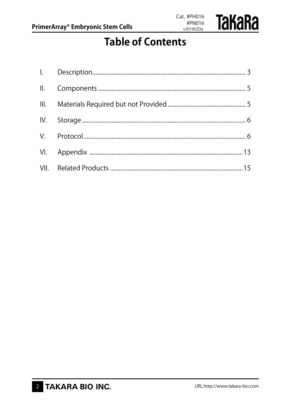

### **Table of Contents**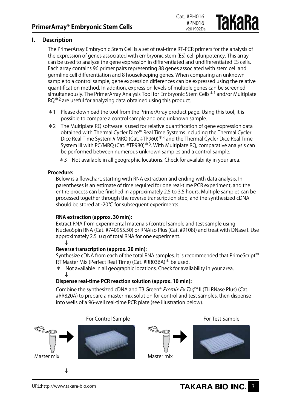#### **I. Description**

The PrimerArray Embryonic Stem Cell is a set of real-time RT-PCR primers for the analysis of the expression of genes associated with embryonic stem (ES) cell pluripotency. This array can be used to analyze the gene expression in differentiated and undifferentiated ES cells. Each array contains 96 primer pairs representing 88 genes associated with stem cell and germline cell differentiation and 8 housekeeping genes. When comparing an unknown sample to a control sample, gene expression differences can be expressed using the relative quantification method. In addition, expression levels of multiple genes can be screened simultaneously. The PrimerArray Analysis Tool for Embryonic Stem Cells\*1 and/or Multiplate  $RQ*2$  are useful for analyzing data obtained using this product.

Cat. #PH016 #PN016 v201902Da

якака

- $*1$  Please download the tool from the PrimerArray product page. Using this tool, it is possible to compare a control sample and one unknown sample.
- \*2 The Multiplate RQ software is used for relative quantification of gene expression data obtained with Thermal Cycler Dice™ Real Time Systems including the Thermal Cycler Dice Real Time System // MRQ (Cat. #TP960)<sup>\*3</sup> and the Thermal Cycler Dice Real Time System III with PC/MRQ (Cat. #TP980)\*3. With Multiplate RQ, comparative analysis can be performed between numerous unknown samples and a control sample.
	- \*3 Not available in all geographic locations. Check for availability in your area.

#### **Procedure:**

Below is a flowchart, starting with RNA extraction and ending with data analysis. In parentheses is an estimate of time required for one real-time PCR experiment, and the entire process can be finished in approximately 2.5 to 3.5 hours. Multiple samples can be processed together through the reverse transcription step, and the synthesized cDNA should be stored at -20℃ for subsequent experiments.

#### **RNA extraction (approx. 30 min):**

Extract RNA from experimental materials (control sample and test sample using NucleoSpin RNA (Cat. #740955.50) or RNAiso Plus (Cat. #9108)) and treat with DNase I. Use approximately 2.5  $\mu$  g of total RNA for one experiment. **↓**



#### **Reverse transcription (approx. 20 min):**

Synthesize cDNA from each of the total RNA samples. It is recommended that PrimeScript™ RT Master Mix (Perfect Real Time) (Cat. #RR036A)\* be used.

\* Not available in all geographic locations. Check for availability in your area. **↓**

#### **Dispense real-time PCR reaction solution (approx. 10 min):**

Combine the synthesized cDNA and TB Green® Premix Ex Taq™ II (Tli RNase Plus) (Cat. #RR820A) to prepare a master mix solution for control and test samples, then dispense into wells of a 96-well real-time PCR plate (see illustration below).

For Control Sample **For Control Sample** 

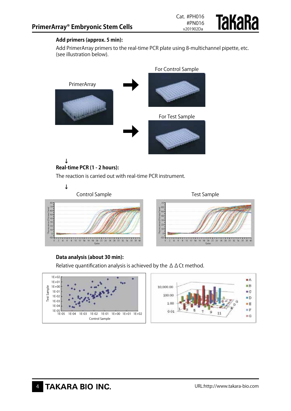

#### **Add primers (approx. 5 min):**

Add PrimerArray primers to the real-time PCR plate using 8-multichannel pipette, etc. (see illustration below).



#### **Real-time PCR (1 - 2 hours):**

The reaction is carried out with real-time PCR instrument.

**↓**



#### **Data analysis (about 30 min):**

Relative quantification analysis is achieved by the  $\Delta \Delta Ct$  method.

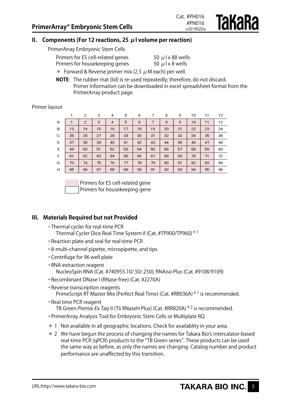**Takara** 

#### **II. Components (For 12 reactions, 25 μl volume per reaction)**

PrimerArray Embryonic Stem Cells

| Primers for ES cell-related genes | 50 $\mu$ l x 88 wells |
|-----------------------------------|-----------------------|
| Primers for housekeeping genes    | 50 $\mu$ l x 8 wells  |

 $*$  Forward & Reverse primer mix (2.5  $\mu$  M each) per well.

**NOTE**: The rubber mat (lid) is re-used repeatedly; therefore, do not discard. Primer information can be downloaded in excel spreadsheet format from the PrimerArray product page.

Primer layout

|    |    | 2              | 3  | 4  | 5  | 6  | 7  | 8  | 9  | 10 | 11 | 12 |
|----|----|----------------|----|----|----|----|----|----|----|----|----|----|
| А  |    | $\overline{2}$ | 3  | 4  | 5  | 6  | 7  | 8  | 9  | 10 | 11 | 12 |
| в  | 13 | 14             | 15 | 16 | 17 | 18 | 19 | 20 | 21 | 22 | 23 | 24 |
| C. | 25 | 26             | 27 | 28 | 29 | 30 | 31 | 32 | 33 | 34 | 35 | 36 |
| D  | 37 | 38             | 39 | 40 | 41 | 42 | 43 | 44 | 45 | 46 | 47 | 48 |
| E  | 49 | 50             | 51 | 52 | 53 | 54 | 55 | 56 | 57 | 58 | 59 | 60 |
| F  | 61 | 62             | 63 | 64 | 65 | 66 | 67 | 68 | 69 | 70 | 71 | 72 |
| G  | 73 | 74             | 75 | 76 | 77 | 78 | 79 | 80 | 81 | 82 | 83 | 84 |
| н  | 85 | 86             | 87 | 88 | 89 | 90 | 91 | 92 | 93 | 94 | 95 | 96 |

Primers for housekeeping gene Primers for ES cell-related gene

#### **III. Materials Required but not Provided**

- ・Thermal cycler for real-time PCR Thermal Cycler Dice Real Time System // (Cat. #TP900/TP960) \* 1
- ・Reaction plate and seal for real-time PCR
- ・8-multi-channel pipette, micropipette, and tips
- ・Centrifuge for 96 well plate
- ・RNA extraction reagent NucleoSpin RNA (Cat. #740955.10/.50/.250); RNAiso Plus (Cat. #9108/9109)
- ・Recombinant DNase I (RNase-free) (Cat. #2270A)
- ・Reverse transcription reagents PrimeScript RT Master Mix (Perfect Real Time) (Cat. #RR036A)<sup>\*1</sup> is recommended.
- ・Real time PCR reagent TB Green Premix Ex Taq II (Tli RNaseH Plus) (Cat. #RR820A)<sup>\*2</sup> is recommended.
- ・PrimerArray Analysis Tool for Embryonic Stem Cells or Multiplate RQ
- \* 1 Not available in all geographic locations. Check for availablity in your area.
- \* 2 We have begun the process of changing the names for Takara Bio's intercalator-based real-time PCR (qPCR) products to the "TB Green series". These products can be used the same way as before, as only the names are changing. Catalog number and product performance are unaffected by this transition.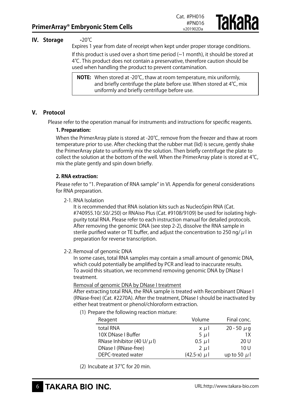**TAKARA** 



Expires 1 year from date of receipt when kept under proper storage conditions. If this product is used over a short time period  $(\sim 1 \text{ month})$ , it should be stored at 4℃. This product does not contain a preservative, therefore caution should be used when handling the product to prevent contamination.

**NOTE:** When stored at -20℃, thaw at room temperature, mix uniformly, and briefly centrifuge the plate before use. When stored at 4℃, mix uniformly and briefly centrifuge before use.

#### **V. Protocol**

Please refer to the operation manual for instruments and instructions for specific reagents.

#### **1. Preparation:**

When the PrimerArray plate is stored at -20℃, remove from the freezer and thaw at room temperature prior to use. After checking that the rubber mat (lid) is secure, gently shake the PrimerArray plate to uniformly mix the solution. Then briefly centrifuge the plate to collect the solution at the bottom of the well. When the PrimerArray plate is stored at  $4^{\circ}C$ , mix the plate gently and spin down briefly.

#### **2. RNA extraction:**

Please refer to "1. Preparation of RNA sample" in VI. Appendix for general considerations for RNA preparation.

2-1. RNA Isolation

It is recommended that RNA isolation kits such as NucleoSpin RNA (Cat. #740955.10/.50/.250) or RNAiso Plus (Cat. #9108/9109) be used for isolating highpurity total RNA. Please refer to each instruction manual for detailed protocols. After removing the genomic DNA (see step 2-2), dissolve the RNA sample in sterile purified water or TE buffer, and adjust the concentration to 250 ng/ $\mu$ l in preparation for reverse transcription.

#### 2-2. Removal of genomic DNA

In some cases, total RNA samples may contain a small amount of genomic DNA, which could potentially be amplified by PCR and lead to inaccurate results. To avoid this situation, we recommend removing genomic DNA by DNase I treatment.

#### Removal of genomic DNA by DNase I treatment

After extracting total RNA, the RNA sample is treated with Recombinant DNase I (RNase-free) (Cat. #2270A). After the treatment, DNase I should be inactivated by either heat treatment or phenol/chloroform extraction.

(1) Prepare the following reaction mixture:

| Reagent                         | Volume       | Final conc.      |
|---------------------------------|--------------|------------------|
| total RNA                       | $x \mu$      | 20 - 50 $\mu$ g  |
| 10X DNase I Buffer              | $5 \mu$      | 1X               |
| RNase Inhibitor (40 U/ $\mu$ I) | $0.5 \mu l$  | 20 U             |
| DNase I (RNase-free)            | $2 \mu l$    | 10U              |
| DEPC-treated water              | $(42.5-x)$ µ | up to 50 $\mu$ 1 |

(2) Incubate at 37℃ for 20 min.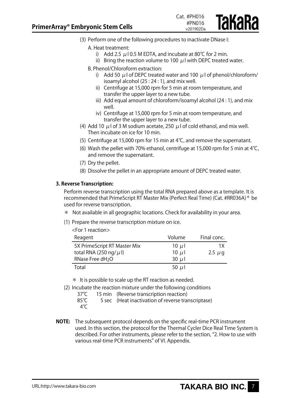

(3) Perform one of the following procedures to inactivate DNase I:

#### A. Heat treatment:

- i) Add 2.5  $\mu$ 10.5 M EDTA, and incubate at 80°C for 2 min.
- ii) Bring the reaction volume to 100  $\mu$  l with DEPC treated water.
- B. Phenol/Chloroform extraction:
	- i) Add 50  $\mu$  l of DEPC treated water and 100  $\mu$  l of phenol/chloroform/ isoamyl alcohol (25 : 24 : 1), and mix well.
	- ii) Centrifuge at 15,000 rpm for 5 min at room temperature, and transfer the upper layer to a new tube.
	- iii) Add equal amount of chloroform/isoamyl alcohol (24 : 1), and mix well.
	- iv) Centrifuge at 15,000 rpm for 5 min at room temperature, and transfer the upper layer to a new tube.
- (4) Add 10  $\mu$  l of 3 M sodium acetate, 250  $\mu$  l of cold ethanol, and mix well. Then incubate on ice for 10 min.
- (5) Centrifuge at 15,000 rpm for 15 min at 4℃, and remove the supernatant.
- (6) Wash the pellet with 70% ethanol, centrifuge at 15,000 rpm for 5 min at 4℃, and remove the supernatant.
- (7) Dry the pellet.
- (8) Dissolve the pellet in an appropriate amount of DEPC treated water.

#### **3. Reverse Transcription:**

Perform reverse transcription using the total RNA prepared above as a template. It is recommended that PrimeScript RT Master Mix (Perfect Real Time) (Cat. #RR036A)\* be used for reverse transcription.

- \* Not available in all geographic locations. Check for availability in your area.
- (1) Prepare the reverse transcription mixture on ice.

| $\epsilon$ For 1 reaction $>$ |            |             |
|-------------------------------|------------|-------------|
| Reagent                       | Volume     | Final conc. |
| 5X PrimeScript RT Master Mix  | 10 $\mu$   | 1Χ          |
| total RNA (250 ng/ $\mu$ l)   | 10 $\mu$   | $2.5 \mu g$ |
| RNase Free dH <sub>2</sub> O  | $30 \mu l$ |             |
| Total                         | 50 $\mu$ l |             |

\* It is possible to scale up the RT reaction as needed.

(2) Incubate the reaction mixture under the following conditions

37°C 15 min (Reverse transcription reaction)<br>85°C 5 sec (Heat inactivation of reverse train

5 sec (Heat inactivation of reverse transcriptase) 4℃

**NOTE:** The subsequent protocol depends on the specific real-time PCR instrument used. In this section, the protocol for the Thermal Cycler Dice Real Time System is described. For other instruments, please refer to the section, "2. How to use with various real-time PCR instruments" of VI. Appendix.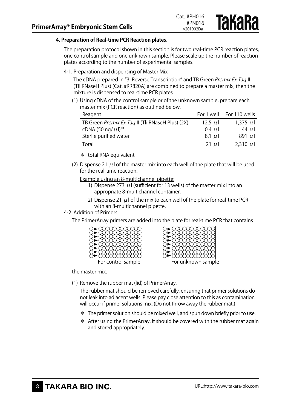#### **4. Preparation of Real-time PCR Reaction plates.**

The preparation protocol shown in this section is for two real-time PCR reaction plates, one control sample and one unknown sample. Please scale up the number of reaction plates according to the number of experimental samples.

4-1. Preparation and dispensing of Master Mix

The cDNA prepared in "3. Reverse Transcription" and TB Green Premix Ex Tag II (Tli RNaseH Plus) (Cat. #RR820A) are combined to prepare a master mix, then the mixture is dispensed to real-time PCR plates.

(1) Using cDNA of the control sample or of the unknown sample, prepare each master mix (PCR reaction) as outlined below.

| Reagent                                          | For 1 well | For 110 wells |
|--------------------------------------------------|------------|---------------|
| TB Green Premix Ex Taq II (Tli RNaseH Plus) (2X) | 12.5 $\mu$ | 1,375 $\mu$   |
| cDNA (50 ng/ $\mu$ l) <sup>*</sup>               | $0.4 \mu$  | 44 $\mu$      |
| Sterile purified water                           | $8.1 \mu$  | 891 $\mu$ l   |
| Total                                            | 21 $\mu$   | $2,310 \mu$   |

- \* total RNA equivalent
- (2) Dispense 21  $\mu$  l of the master mix into each well of the plate that will be used for the real-time reaction.

Example using an 8-multichannel pipette:

- 1) Dispense 273  $\mu$  I (sufficient for 13 wells) of the master mix into an appropriate 8-multichannel container.
- 2) Dispense 21  $\mu$  l of the mix to each well of the plate for real-time PCR with an 8-multichannel pipette.

#### 4-2. Addition of Primers:

The PrimerArray primers are added into the plate for real-time PCR that contains



the master mix.

(1) Remove the rubber mat (lid) of PrimerArray.

The rubber mat should be removed carefully, ensuring that primer solutions do not leak into adjacent wells. Please pay close attention to this as contamination will occur if primer solutions mix. (Do not throw away the rubber mat.)

- $*$  The primer solution should be mixed well, and spun down briefly prior to use.
- $*$  After using the PrimerArray, it should be covered with the rubber mat again and stored appropriately.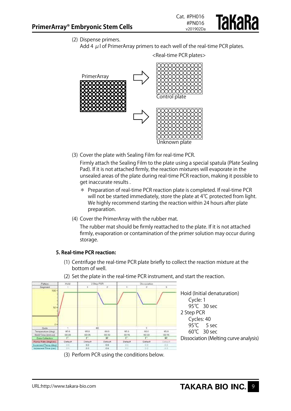

(2) Dispense primers.

Add 4  $\mu$  I of PrimerArray primers to each well of the real-time PCR plates.



(3) Cover the plate with Sealing Film for real-time PCR.

Firmly attach the Sealing Film to the plate using a special spatula (Plate Sealing Pad). If it is not attached firmly, the reaction mixtures will evaporate in the unsealed areas of the plate during real-time PCR reaction, making it possible to get inaccurate results .

- \* Preparation of real-time PCR reaction plate is completed. If real-time PCR will not be started immediately, store the plate at 4℃ protected from light. We highly recommend starting the reaction within 24 hours after plate preparation.
- (4) Cover the PrimerArray with the rubber mat.

The rubber mat should be firmly reattached to the plate. If it is not attached firmly, evaporation or contamination of the primer solution may occur during storage.

#### **5. Real-time PCR reaction:**

- (1) Centrifuge the real-time PCR plate briefly to collect the reaction mixture at the bottom of well.
- (2) Set the plate in the real-time PCR instrument, and start the reaction.



(3) Perform PCR using the conditions below.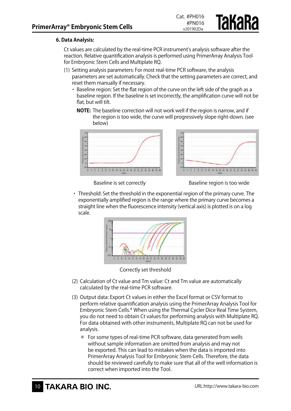#### **6. Data Analysis:**

Ct values are calculated by the real-time PCR instrument's analysis software after the reaction. Relative quantification analysis is performed using PrimerArray Analysis Tool for Embryonic Stem Cells and Multiplate RQ.

- (1) Setting analysis parameters: For most real-time PCR software, the analysis parameters are set automatically. Check that the setting parameters are correct, and reset them manually if necessary.
	- ・ Baseline region: Set the flat region of the curve on the left side of the graph as a baseline region. If the baseline is set incorrectly, the amplification curve will not be flat, but will tilt.
		- **NOTE:** The baseline correction will not work well if the region is narrow, and if the region is too wide, the curve will progressively slope right-down. (see below)





**Takara** 

Baseline is set correctly Baseline region is too wide

・ Threshold: Set the threshold in the exponential region of the primary curve. The exponentially amplified region is the range where the primary curve becomes a straight line when the fluorescence intensity (vertical axis) is plotted is on a log scale.



Correctly set threshold

- (2) Calculation of Ct value and Tm value: Ct and Tm value are automatically calculated by the real-time PCR software.
- (3) Output data: Export Ct values in either the Excel format or CSV format to perform relative quantification analysis using the PrimerArray Analysis Tool for Embryonic Stem Cells.\* When using the Thermal Cycler Dice Real Time System, you do not need to obtain Ct values for performing analysis with Multiplate RQ. For data obtained with other instruments, Multiplate RQ can not be used for analysis.
	- \* For some types of real-time PCR software, data generated from wells without sample information are omitted from analysis and may not be exported. This can lead to mistakes when the data is imported into PrimerArray Analysis Tool for Embryonic Stem Cells. Therefore, the data should be reviewed carefully to make sure that all of the well information is correct when imported into the Tool.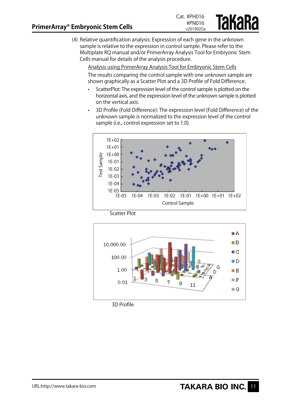

(4) Relative quantification analysis: Expression of each gene in the unknown sample is relative to the expression in control sample. Please refer to the Multiplate RQ manual and/or PrimerArray Analysis Tool for Embryonic Stem Cells manual for details of the analysis procedure.

Analysis using PrimerArray Analysis Tool for Embryonic Stem Cells The results comparing the control sample with one unknown sample are shown graphically as a Scatter Plot and a 3D Profile of Fold Difference.

- ScatterPlot: The expression level of the control sample is plotted on the horizontal axis, and the expression level of the unknown sample is plotted on the vertical axis.
- 3D Profile (Fold Difference): The expression level (Fold Difference) of the unknown sample is normalized to the expression level of the control sample (i.e., control expression set to 1.0).



Scatter Plot



3D Profile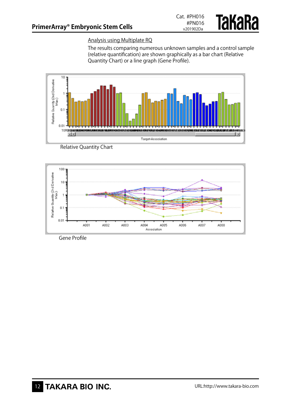

#### Analysis using Multiplate RQ

The results comparing numerous unknown samples and a control sample (relative quantification) are shown graphically as a bar chart (Relative Quantity Chart) or a line graph (Gene Profile).







Gene Profile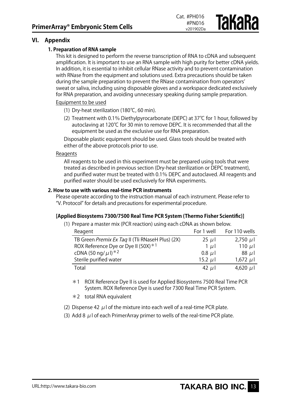#### **VI. Appendix**

#### **1. Preparation of RNA sample**

This kit is designed to perform the reverse transcription of RNA to cDNA and subsequent amplification. It is important to use an RNA sample with high purity for better cDNA yields. In addition, it is essential to inhibit cellular RNase activity and to prevent contamination with RNase from the equipment and solutions used. Extra precautions should be taken during the sample preparation to prevent the RNase contamination from operators' sweat or saliva, including using disposable gloves and a workspace dedicated exclusively for RNA preparation, and avoiding unnecessary speaking during sample preparation.

Cat. #PH016 #PN016 v201902Da

**Takara** 

#### Equipment to be used

- (1) Dry-heat sterilization (180℃, 60 min).
- (2) Treatment with 0.1% Diethylpyrocarbonate (DEPC) at 37℃ for 1 hour, followed by autoclaving at 120℃ for 30 min to remove DEPC. It is recommended that all the equipment be used as the exclusive use for RNA preparation.

Disposable plastic equipment should be used. Glass tools should be treated with either of the above protocols prior to use.

#### Reagents

All reagents to be used in this experiment must be prepared using tools that were treated as described in previous section (Dry-heat sterilization or DEPC treatment), and purified water must be treated with 0.1% DEPC and autoclaved. All reagents and purified water should be used exclusively for RNA experiments.

#### **2. How to use with various real-time PCR instruments**

Please operate according to the instruction manual of each instrument. Please refer to "V. Protocol" for details and precautions for experimental procedure.

#### **[Applied Biosystems 7300/7500 Real Time PCR System (Thermo Fisher Scientific)]**

(1) Prepare a master mix (PCR reaction) using each cDNA as shown below.

| Reagent                                          | For 1 well   | For 110 wells |
|--------------------------------------------------|--------------|---------------|
| TB Green Premix Ex Taq II (Tli RNaseH Plus) (2X) | $25 \mu$     | $2,750 \mu$   |
| ROX Reference Dye or Dye II (50X) $*1$           | $1 \mu$      | 110 $\mu$     |
| cDNA (50 ng/ $\mu$ l) *2                         | $0.8$ $\mu$  | $88 \mu$      |
| Sterile purified water                           | 15.2 $\mu$ l | $1,672 \mu$   |
| Total                                            | 42 $\mu$     | 4,620 $\mu$   |

- \*1 ROX Reference Dye II is used for Applied Biosystems 7500 Real Time PCR System. ROX Reference Dye is used for 7300 Real Time PCR System.
- \*2 total RNA equivalent
- (2) Dispense 42  $\mu$  l of the mixture into each well of a real-time PCR plate.
- (3) Add 8  $\mu$  l of each PrimerArray primer to wells of the real-time PCR plate.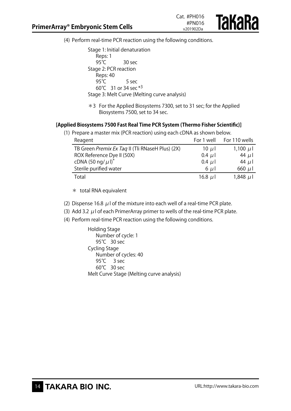

(4) Perform real-time PCR reaction using the following conditions.

Stage 1: Initial denaturation Reps: 1<br>95℃ 30 sec Stage 2: PCR reaction Reps: 40 95℃ 5 sec 60℃ 31 or 34 sec \*3 Stage 3: Melt Curve (Melting curve analysis)

\*3 For the Applied Biosystems 7300, set to 31 sec; for the Applied Biosystems 7500, set to 34 sec.

#### **[Applied Biosystems 7500 Fast Real Time PCR System (Thermo Fisher Scientific)]**

| (1) Prepare a master mix (PCR reaction) using each cDNA as shown below. |             |                          |
|-------------------------------------------------------------------------|-------------|--------------------------|
| Reagent                                                                 |             | For 1 well For 110 wells |
| TB Green Premix Ex Taq II (Tli RNaseH Plus) (2X)                        | 10 $\mu$    | 1,100 $\mu$ <sub>1</sub> |
| ROX Reference Dye II (50X)                                              | $0.4 \mu$   | 44 $\mu$                 |
| cDNA (50 ng/ $\mu$ I) <sup>*</sup>                                      | $0.4 \mu l$ | 44 $\mu$                 |
| Sterile purified water                                                  | $6 \mu$     | 660 $\mu$ l              |
| Total                                                                   | 16.8 $\mu$  | $1,848$ µ                |

\* total RNA equivalent

- (2) Dispense 16.8  $\mu$  l of the mixture into each well of a real-time PCR plate.
- (3) Add 3.2  $\mu$  l of each PrimerArray primer to wells of the real-time PCR plate.
- (4) Perform real-time PCR reaction using the following conditions.

Holding Stage Number of cycle: 1 95℃ 30 sec Cycling Stage Number of cycles: 40 95℃ 3 sec 60℃ 30 sec Melt Curve Stage (Melting curve analysis)